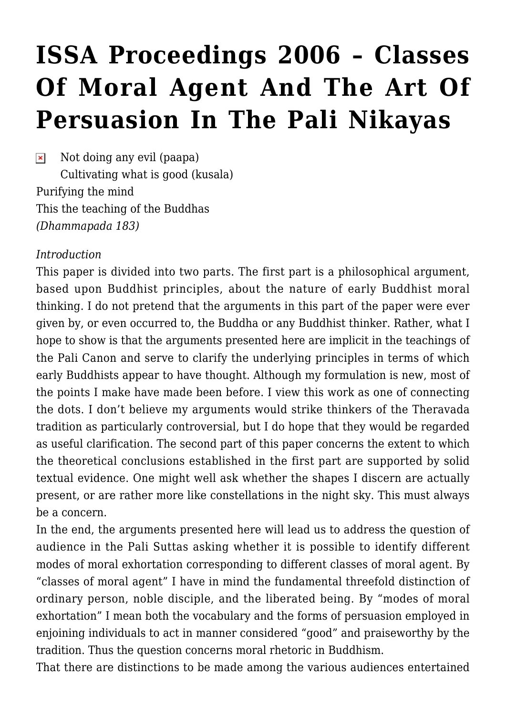# **[ISSA Proceedings 2006 – Classes](https://rozenbergquarterly.com/issa-proceedings-2006-classes-of-moral-agent-and-the-art-of-persuasion-in-the-pali-nikayas/) [Of Moral Agent And The Art Of](https://rozenbergquarterly.com/issa-proceedings-2006-classes-of-moral-agent-and-the-art-of-persuasion-in-the-pali-nikayas/) [Persuasion In The Pali Nikayas](https://rozenbergquarterly.com/issa-proceedings-2006-classes-of-moral-agent-and-the-art-of-persuasion-in-the-pali-nikayas/)**

 $\pmb{\times}$ Not doing any evil (paapa) Cultivating what is good (kusala) Purifying the mind This the teaching of the Buddhas *(Dhammapada 183)*

#### *Introduction*

This paper is divided into two parts. The first part is a philosophical argument, based upon Buddhist principles, about the nature of early Buddhist moral thinking. I do not pretend that the arguments in this part of the paper were ever given by, or even occurred to, the Buddha or any Buddhist thinker. Rather, what I hope to show is that the arguments presented here are implicit in the teachings of the Pali Canon and serve to clarify the underlying principles in terms of which early Buddhists appear to have thought. Although my formulation is new, most of the points I make have made been before. I view this work as one of connecting the dots. I don't believe my arguments would strike thinkers of the Theravada tradition as particularly controversial, but I do hope that they would be regarded as useful clarification. The second part of this paper concerns the extent to which the theoretical conclusions established in the first part are supported by solid textual evidence. One might well ask whether the shapes I discern are actually present, or are rather more like constellations in the night sky. This must always be a concern.

In the end, the arguments presented here will lead us to address the question of audience in the Pali Suttas asking whether it is possible to identify different modes of moral exhortation corresponding to different classes of moral agent. By "classes of moral agent" I have in mind the fundamental threefold distinction of ordinary person, noble disciple, and the liberated being. By "modes of moral exhortation" I mean both the vocabulary and the forms of persuasion employed in enjoining individuals to act in manner considered "good" and praiseworthy by the tradition. Thus the question concerns moral rhetoric in Buddhism.

That there are distinctions to be made among the various audiences entertained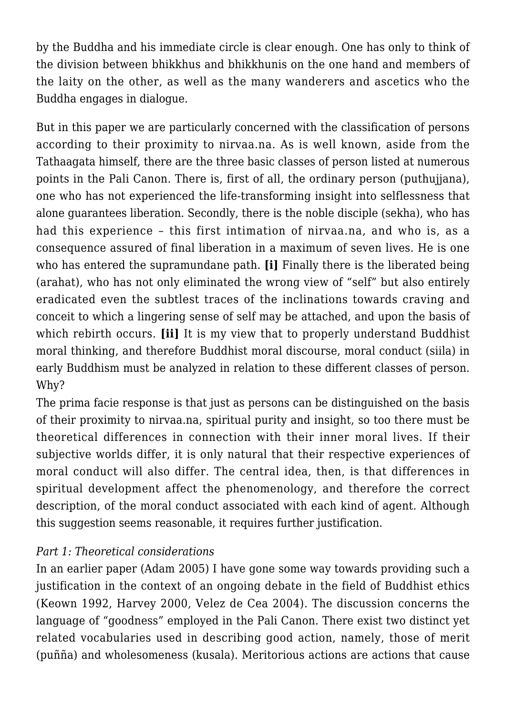by the Buddha and his immediate circle is clear enough. One has only to think of the division between bhikkhus and bhikkhunis on the one hand and members of the laity on the other, as well as the many wanderers and ascetics who the Buddha engages in dialogue.

But in this paper we are particularly concerned with the classification of persons according to their proximity to nirvaa.na. As is well known, aside from the Tathaagata himself, there are the three basic classes of person listed at numerous points in the Pali Canon. There is, first of all, the ordinary person (puthujjana), one who has not experienced the life-transforming insight into selflessness that alone guarantees liberation. Secondly, there is the noble disciple (sekha), who has had this experience – this first intimation of nirvaa.na, and who is, as a consequence assured of final liberation in a maximum of seven lives. He is one who has entered the supramundane path. **[i]** Finally there is the liberated being (arahat), who has not only eliminated the wrong view of "self" but also entirely eradicated even the subtlest traces of the inclinations towards craving and conceit to which a lingering sense of self may be attached, and upon the basis of which rebirth occurs. **[ii]** It is my view that to properly understand Buddhist moral thinking, and therefore Buddhist moral discourse, moral conduct (siila) in early Buddhism must be analyzed in relation to these different classes of person. Why?

The prima facie response is that just as persons can be distinguished on the basis of their proximity to nirvaa.na, spiritual purity and insight, so too there must be theoretical differences in connection with their inner moral lives. If their subjective worlds differ, it is only natural that their respective experiences of moral conduct will also differ. The central idea, then, is that differences in spiritual development affect the phenomenology, and therefore the correct description, of the moral conduct associated with each kind of agent. Although this suggestion seems reasonable, it requires further justification.

### *Part 1: Theoretical considerations*

In an earlier paper (Adam 2005) I have gone some way towards providing such a justification in the context of an ongoing debate in the field of Buddhist ethics (Keown 1992, Harvey 2000, Velez de Cea 2004). The discussion concerns the language of "goodness" employed in the Pali Canon. There exist two distinct yet related vocabularies used in describing good action, namely, those of merit (puñña) and wholesomeness (kusala). Meritorious actions are actions that cause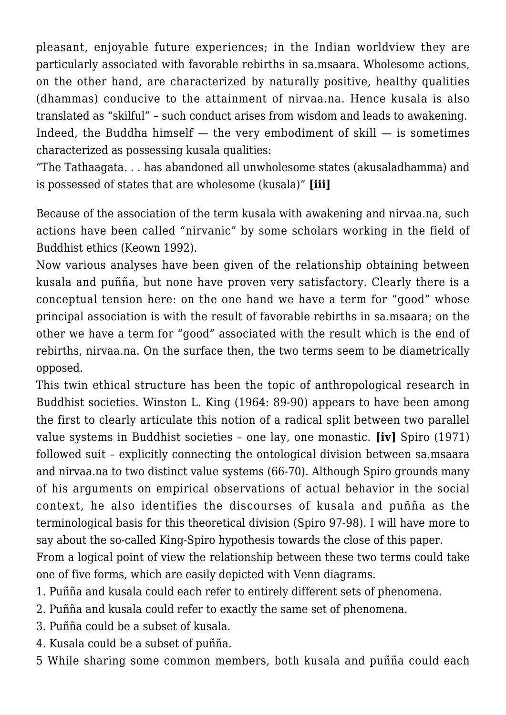pleasant, enjoyable future experiences; in the Indian worldview they are particularly associated with favorable rebirths in sa.msaara. Wholesome actions, on the other hand, are characterized by naturally positive, healthy qualities (dhammas) conducive to the attainment of nirvaa.na. Hence kusala is also translated as "skilful" – such conduct arises from wisdom and leads to awakening. Indeed, the Buddha himself  $-$  the very embodiment of skill  $-$  is sometimes characterized as possessing kusala qualities:

"The Tathaagata. . . has abandoned all unwholesome states (akusaladhamma) and is possessed of states that are wholesome (kusala)" **[iii]**

Because of the association of the term kusala with awakening and nirvaa.na, such actions have been called "nirvanic" by some scholars working in the field of Buddhist ethics (Keown 1992).

Now various analyses have been given of the relationship obtaining between kusala and puñña, but none have proven very satisfactory. Clearly there is a conceptual tension here: on the one hand we have a term for "good" whose principal association is with the result of favorable rebirths in sa.msaara; on the other we have a term for "good" associated with the result which is the end of rebirths, nirvaa.na. On the surface then, the two terms seem to be diametrically opposed.

This twin ethical structure has been the topic of anthropological research in Buddhist societies. Winston L. King (1964: 89-90) appears to have been among the first to clearly articulate this notion of a radical split between two parallel value systems in Buddhist societies – one lay, one monastic. **[iv]** Spiro (1971) followed suit – explicitly connecting the ontological division between sa.msaara and nirvaa.na to two distinct value systems (66-70). Although Spiro grounds many of his arguments on empirical observations of actual behavior in the social context, he also identifies the discourses of kusala and puñña as the terminological basis for this theoretical division (Spiro 97-98). I will have more to say about the so-called King-Spiro hypothesis towards the close of this paper.

From a logical point of view the relationship between these two terms could take one of five forms, which are easily depicted with Venn diagrams.

- 1. Puñña and kusala could each refer to entirely different sets of phenomena.
- 2. Puñña and kusala could refer to exactly the same set of phenomena.
- 3. Puñña could be a subset of kusala.
- 4. Kusala could be a subset of puñña.
- 5 While sharing some common members, both kusala and puñña could each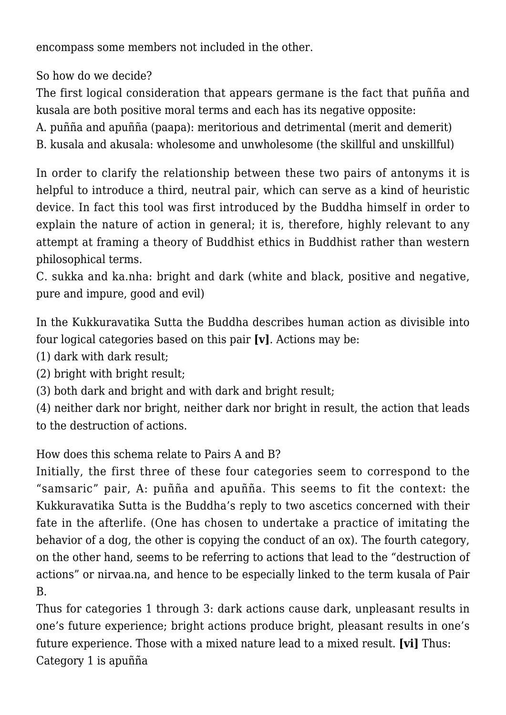encompass some members not included in the other.

So how do we decide?

The first logical consideration that appears germane is the fact that puñña and kusala are both positive moral terms and each has its negative opposite:

A. puñña and apuñña (paapa): meritorious and detrimental (merit and demerit)

B. kusala and akusala: wholesome and unwholesome (the skillful and unskillful)

In order to clarify the relationship between these two pairs of antonyms it is helpful to introduce a third, neutral pair, which can serve as a kind of heuristic device. In fact this tool was first introduced by the Buddha himself in order to explain the nature of action in general; it is, therefore, highly relevant to any attempt at framing a theory of Buddhist ethics in Buddhist rather than western philosophical terms.

C. sukka and ka.nha: bright and dark (white and black, positive and negative, pure and impure, good and evil)

In the Kukkuravatika Sutta the Buddha describes human action as divisible into four logical categories based on this pair **[v]**. Actions may be:

- (1) dark with dark result;
- (2) bright with bright result;
- (3) both dark and bright and with dark and bright result;

(4) neither dark nor bright, neither dark nor bright in result, the action that leads to the destruction of actions.

How does this schema relate to Pairs A and B?

Initially, the first three of these four categories seem to correspond to the "samsaric" pair, A: puñña and apuñña. This seems to fit the context: the Kukkuravatika Sutta is the Buddha's reply to two ascetics concerned with their fate in the afterlife. (One has chosen to undertake a practice of imitating the behavior of a dog, the other is copying the conduct of an ox). The fourth category, on the other hand, seems to be referring to actions that lead to the "destruction of actions" or nirvaa.na, and hence to be especially linked to the term kusala of Pair B.

Thus for categories 1 through 3: dark actions cause dark, unpleasant results in one's future experience; bright actions produce bright, pleasant results in one's future experience. Those with a mixed nature lead to a mixed result. **[vi]** Thus: Category 1 is apuñña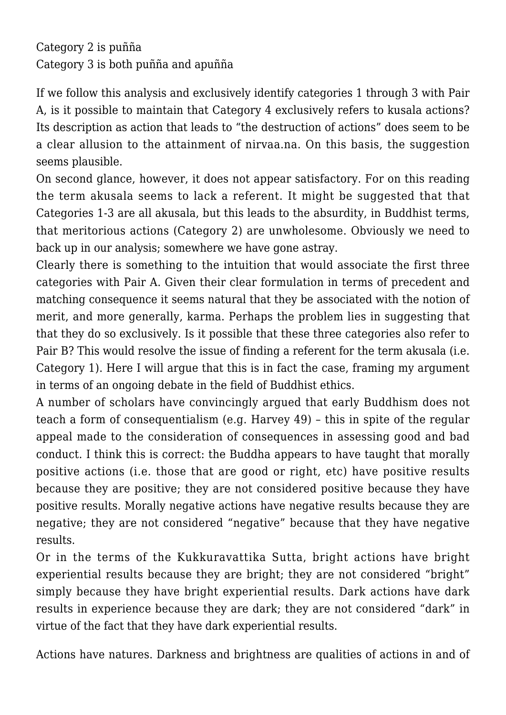Category 2 is puñña Category 3 is both puñña and apuñña

If we follow this analysis and exclusively identify categories 1 through 3 with Pair A, is it possible to maintain that Category 4 exclusively refers to kusala actions? Its description as action that leads to "the destruction of actions" does seem to be a clear allusion to the attainment of nirvaa.na. On this basis, the suggestion seems plausible.

On second glance, however, it does not appear satisfactory. For on this reading the term akusala seems to lack a referent. It might be suggested that that Categories 1-3 are all akusala, but this leads to the absurdity, in Buddhist terms, that meritorious actions (Category 2) are unwholesome. Obviously we need to back up in our analysis; somewhere we have gone astray.

Clearly there is something to the intuition that would associate the first three categories with Pair A. Given their clear formulation in terms of precedent and matching consequence it seems natural that they be associated with the notion of merit, and more generally, karma. Perhaps the problem lies in suggesting that that they do so exclusively. Is it possible that these three categories also refer to Pair B? This would resolve the issue of finding a referent for the term akusala (i.e. Category 1). Here I will argue that this is in fact the case, framing my argument in terms of an ongoing debate in the field of Buddhist ethics.

A number of scholars have convincingly argued that early Buddhism does not teach a form of consequentialism (e.g. Harvey 49) – this in spite of the regular appeal made to the consideration of consequences in assessing good and bad conduct. I think this is correct: the Buddha appears to have taught that morally positive actions (i.e. those that are good or right, etc) have positive results because they are positive; they are not considered positive because they have positive results. Morally negative actions have negative results because they are negative; they are not considered "negative" because that they have negative results.

Or in the terms of the Kukkuravattika Sutta, bright actions have bright experiential results because they are bright; they are not considered "bright" simply because they have bright experiential results. Dark actions have dark results in experience because they are dark; they are not considered "dark" in virtue of the fact that they have dark experiential results.

Actions have natures. Darkness and brightness are qualities of actions in and of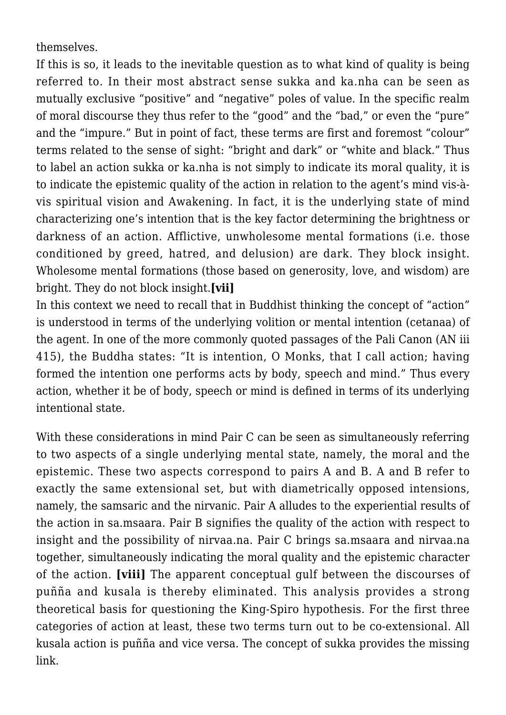themselves.

If this is so, it leads to the inevitable question as to what kind of quality is being referred to. In their most abstract sense sukka and ka.nha can be seen as mutually exclusive "positive" and "negative" poles of value. In the specific realm of moral discourse they thus refer to the "good" and the "bad," or even the "pure" and the "impure." But in point of fact, these terms are first and foremost "colour" terms related to the sense of sight: "bright and dark" or "white and black." Thus to label an action sukka or ka.nha is not simply to indicate its moral quality, it is to indicate the epistemic quality of the action in relation to the agent's mind vis-àvis spiritual vision and Awakening. In fact, it is the underlying state of mind characterizing one's intention that is the key factor determining the brightness or darkness of an action. Afflictive, unwholesome mental formations (i.e. those conditioned by greed, hatred, and delusion) are dark. They block insight. Wholesome mental formations (those based on generosity, love, and wisdom) are bright. They do not block insight.**[vii]**

In this context we need to recall that in Buddhist thinking the concept of "action" is understood in terms of the underlying volition or mental intention (cetanaa) of the agent. In one of the more commonly quoted passages of the Pali Canon (AN iii 415), the Buddha states: "It is intention, O Monks, that I call action; having formed the intention one performs acts by body, speech and mind." Thus every action, whether it be of body, speech or mind is defined in terms of its underlying intentional state.

With these considerations in mind Pair C can be seen as simultaneously referring to two aspects of a single underlying mental state, namely, the moral and the epistemic. These two aspects correspond to pairs A and B. A and B refer to exactly the same extensional set, but with diametrically opposed intensions, namely, the samsaric and the nirvanic. Pair A alludes to the experiential results of the action in sa.msaara. Pair B signifies the quality of the action with respect to insight and the possibility of nirvaa.na. Pair C brings sa.msaara and nirvaa.na together, simultaneously indicating the moral quality and the epistemic character of the action. **[viii]** The apparent conceptual gulf between the discourses of puñña and kusala is thereby eliminated. This analysis provides a strong theoretical basis for questioning the King-Spiro hypothesis. For the first three categories of action at least, these two terms turn out to be co-extensional. All kusala action is puñña and vice versa. The concept of sukka provides the missing link.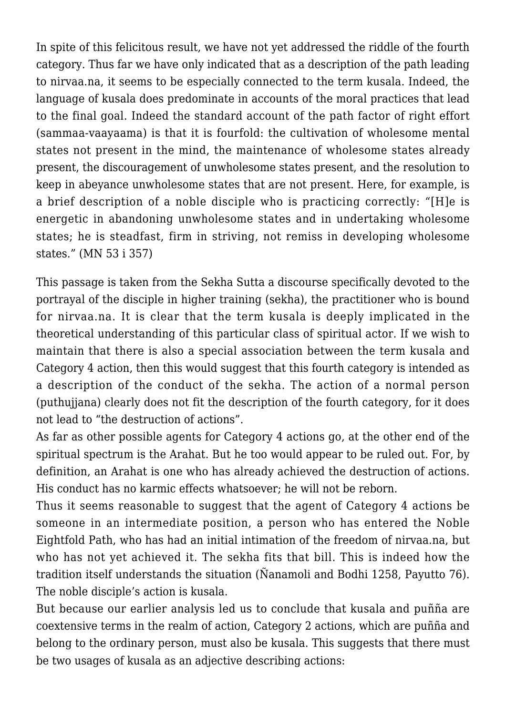In spite of this felicitous result, we have not yet addressed the riddle of the fourth category. Thus far we have only indicated that as a description of the path leading to nirvaa.na, it seems to be especially connected to the term kusala. Indeed, the language of kusala does predominate in accounts of the moral practices that lead to the final goal. Indeed the standard account of the path factor of right effort (sammaa-vaayaama) is that it is fourfold: the cultivation of wholesome mental states not present in the mind, the maintenance of wholesome states already present, the discouragement of unwholesome states present, and the resolution to keep in abeyance unwholesome states that are not present. Here, for example, is a brief description of a noble disciple who is practicing correctly: "[H]e is energetic in abandoning unwholesome states and in undertaking wholesome states; he is steadfast, firm in striving, not remiss in developing wholesome states." (MN 53 i 357)

This passage is taken from the Sekha Sutta a discourse specifically devoted to the portrayal of the disciple in higher training (sekha), the practitioner who is bound for nirvaa.na. It is clear that the term kusala is deeply implicated in the theoretical understanding of this particular class of spiritual actor. If we wish to maintain that there is also a special association between the term kusala and Category 4 action, then this would suggest that this fourth category is intended as a description of the conduct of the sekha. The action of a normal person (puthujjana) clearly does not fit the description of the fourth category, for it does not lead to "the destruction of actions".

As far as other possible agents for Category 4 actions go, at the other end of the spiritual spectrum is the Arahat. But he too would appear to be ruled out. For, by definition, an Arahat is one who has already achieved the destruction of actions. His conduct has no karmic effects whatsoever; he will not be reborn.

Thus it seems reasonable to suggest that the agent of Category 4 actions be someone in an intermediate position, a person who has entered the Noble Eightfold Path, who has had an initial intimation of the freedom of nirvaa.na, but who has not yet achieved it. The sekha fits that bill. This is indeed how the tradition itself understands the situation (Ñanamoli and Bodhi 1258, Payutto 76). The noble disciple's action is kusala.

But because our earlier analysis led us to conclude that kusala and puñña are coextensive terms in the realm of action, Category 2 actions, which are puñña and belong to the ordinary person, must also be kusala. This suggests that there must be two usages of kusala as an adjective describing actions: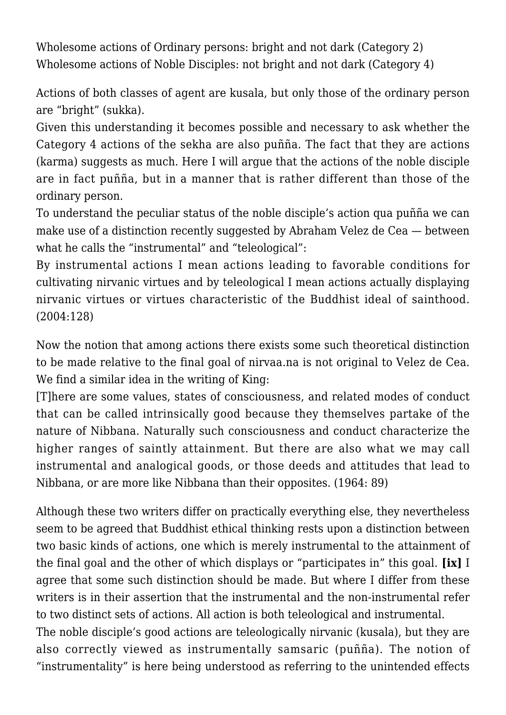Wholesome actions of Ordinary persons: bright and not dark (Category 2) Wholesome actions of Noble Disciples: not bright and not dark (Category 4)

Actions of both classes of agent are kusala, but only those of the ordinary person are "bright" (sukka).

Given this understanding it becomes possible and necessary to ask whether the Category 4 actions of the sekha are also puñña. The fact that they are actions (karma) suggests as much. Here I will argue that the actions of the noble disciple are in fact puñña, but in a manner that is rather different than those of the ordinary person.

To understand the peculiar status of the noble disciple's action qua puñña we can make use of a distinction recently suggested by Abraham Velez de Cea — between what he calls the "instrumental" and "teleological":

By instrumental actions I mean actions leading to favorable conditions for cultivating nirvanic virtues and by teleological I mean actions actually displaying nirvanic virtues or virtues characteristic of the Buddhist ideal of sainthood. (2004:128)

Now the notion that among actions there exists some such theoretical distinction to be made relative to the final goal of nirvaa.na is not original to Velez de Cea. We find a similar idea in the writing of King:

[T]here are some values, states of consciousness, and related modes of conduct that can be called intrinsically good because they themselves partake of the nature of Nibbana. Naturally such consciousness and conduct characterize the higher ranges of saintly attainment. But there are also what we may call instrumental and analogical goods, or those deeds and attitudes that lead to Nibbana, or are more like Nibbana than their opposites. (1964: 89)

Although these two writers differ on practically everything else, they nevertheless seem to be agreed that Buddhist ethical thinking rests upon a distinction between two basic kinds of actions, one which is merely instrumental to the attainment of the final goal and the other of which displays or "participates in" this goal. **[ix]** I agree that some such distinction should be made. But where I differ from these writers is in their assertion that the instrumental and the non-instrumental refer to two distinct sets of actions. All action is both teleological and instrumental.

The noble disciple's good actions are teleologically nirvanic (kusala), but they are also correctly viewed as instrumentally samsaric (puñña). The notion of "instrumentality" is here being understood as referring to the unintended effects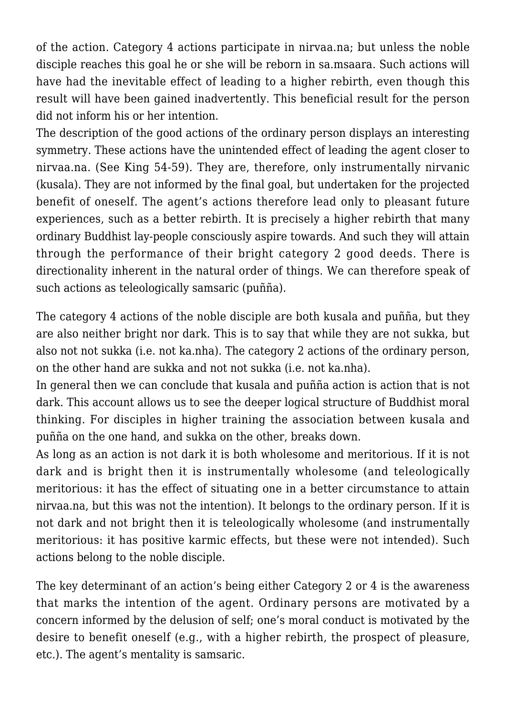of the action. Category 4 actions participate in nirvaa.na; but unless the noble disciple reaches this goal he or she will be reborn in sa.msaara. Such actions will have had the inevitable effect of leading to a higher rebirth, even though this result will have been gained inadvertently. This beneficial result for the person did not inform his or her intention.

The description of the good actions of the ordinary person displays an interesting symmetry. These actions have the unintended effect of leading the agent closer to nirvaa.na. (See King 54-59). They are, therefore, only instrumentally nirvanic (kusala). They are not informed by the final goal, but undertaken for the projected benefit of oneself. The agent's actions therefore lead only to pleasant future experiences, such as a better rebirth. It is precisely a higher rebirth that many ordinary Buddhist lay-people consciously aspire towards. And such they will attain through the performance of their bright category 2 good deeds. There is directionality inherent in the natural order of things. We can therefore speak of such actions as teleologically samsaric (puñña).

The category 4 actions of the noble disciple are both kusala and puñña, but they are also neither bright nor dark. This is to say that while they are not sukka, but also not not sukka (i.e. not ka.nha). The category 2 actions of the ordinary person, on the other hand are sukka and not not sukka (i.e. not ka.nha).

In general then we can conclude that kusala and puñña action is action that is not dark. This account allows us to see the deeper logical structure of Buddhist moral thinking. For disciples in higher training the association between kusala and puñña on the one hand, and sukka on the other, breaks down.

As long as an action is not dark it is both wholesome and meritorious. If it is not dark and is bright then it is instrumentally wholesome (and teleologically meritorious: it has the effect of situating one in a better circumstance to attain nirvaa.na, but this was not the intention). It belongs to the ordinary person. If it is not dark and not bright then it is teleologically wholesome (and instrumentally meritorious: it has positive karmic effects, but these were not intended). Such actions belong to the noble disciple.

The key determinant of an action's being either Category 2 or 4 is the awareness that marks the intention of the agent. Ordinary persons are motivated by a concern informed by the delusion of self; one's moral conduct is motivated by the desire to benefit oneself (e.g., with a higher rebirth, the prospect of pleasure, etc.). The agent's mentality is samsaric.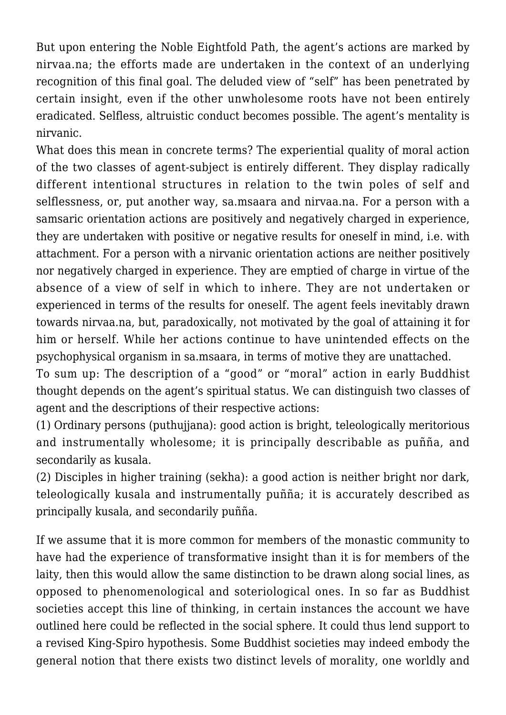But upon entering the Noble Eightfold Path, the agent's actions are marked by nirvaa.na; the efforts made are undertaken in the context of an underlying recognition of this final goal. The deluded view of "self" has been penetrated by certain insight, even if the other unwholesome roots have not been entirely eradicated. Selfless, altruistic conduct becomes possible. The agent's mentality is nirvanic.

What does this mean in concrete terms? The experiential quality of moral action of the two classes of agent-subject is entirely different. They display radically different intentional structures in relation to the twin poles of self and selflessness, or, put another way, sa.msaara and nirvaa.na. For a person with a samsaric orientation actions are positively and negatively charged in experience, they are undertaken with positive or negative results for oneself in mind, i.e. with attachment. For a person with a nirvanic orientation actions are neither positively nor negatively charged in experience. They are emptied of charge in virtue of the absence of a view of self in which to inhere. They are not undertaken or experienced in terms of the results for oneself. The agent feels inevitably drawn towards nirvaa.na, but, paradoxically, not motivated by the goal of attaining it for him or herself. While her actions continue to have unintended effects on the psychophysical organism in sa.msaara, in terms of motive they are unattached.

To sum up: The description of a "good" or "moral" action in early Buddhist thought depends on the agent's spiritual status. We can distinguish two classes of agent and the descriptions of their respective actions:

(1) Ordinary persons (puthujjana): good action is bright, teleologically meritorious and instrumentally wholesome; it is principally describable as puñña, and secondarily as kusala.

(2) Disciples in higher training (sekha): a good action is neither bright nor dark, teleologically kusala and instrumentally puñña; it is accurately described as principally kusala, and secondarily puñña.

If we assume that it is more common for members of the monastic community to have had the experience of transformative insight than it is for members of the laity, then this would allow the same distinction to be drawn along social lines, as opposed to phenomenological and soteriological ones. In so far as Buddhist societies accept this line of thinking, in certain instances the account we have outlined here could be reflected in the social sphere. It could thus lend support to a revised King-Spiro hypothesis. Some Buddhist societies may indeed embody the general notion that there exists two distinct levels of morality, one worldly and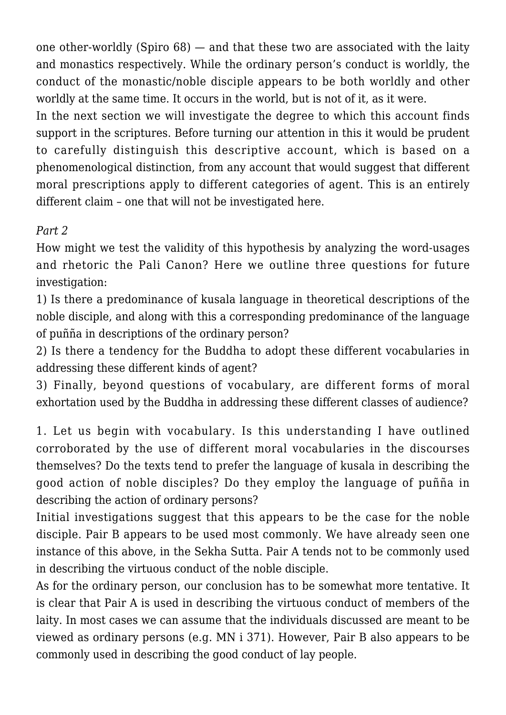one other-worldly (Spiro 68) — and that these two are associated with the laity and monastics respectively. While the ordinary person's conduct is worldly, the conduct of the monastic/noble disciple appears to be both worldly and other worldly at the same time. It occurs in the world, but is not of it, as it were.

In the next section we will investigate the degree to which this account finds support in the scriptures. Before turning our attention in this it would be prudent to carefully distinguish this descriptive account, which is based on a phenomenological distinction, from any account that would suggest that different moral prescriptions apply to different categories of agent. This is an entirely different claim – one that will not be investigated here.

## *Part 2*

How might we test the validity of this hypothesis by analyzing the word-usages and rhetoric the Pali Canon? Here we outline three questions for future investigation:

1) Is there a predominance of kusala language in theoretical descriptions of the noble disciple, and along with this a corresponding predominance of the language of puñña in descriptions of the ordinary person?

2) Is there a tendency for the Buddha to adopt these different vocabularies in addressing these different kinds of agent?

3) Finally, beyond questions of vocabulary, are different forms of moral exhortation used by the Buddha in addressing these different classes of audience?

1. Let us begin with vocabulary. Is this understanding I have outlined corroborated by the use of different moral vocabularies in the discourses themselves? Do the texts tend to prefer the language of kusala in describing the good action of noble disciples? Do they employ the language of puñña in describing the action of ordinary persons?

Initial investigations suggest that this appears to be the case for the noble disciple. Pair B appears to be used most commonly. We have already seen one instance of this above, in the Sekha Sutta. Pair A tends not to be commonly used in describing the virtuous conduct of the noble disciple.

As for the ordinary person, our conclusion has to be somewhat more tentative. It is clear that Pair A is used in describing the virtuous conduct of members of the laity. In most cases we can assume that the individuals discussed are meant to be viewed as ordinary persons (e.g. MN i 371). However, Pair B also appears to be commonly used in describing the good conduct of lay people.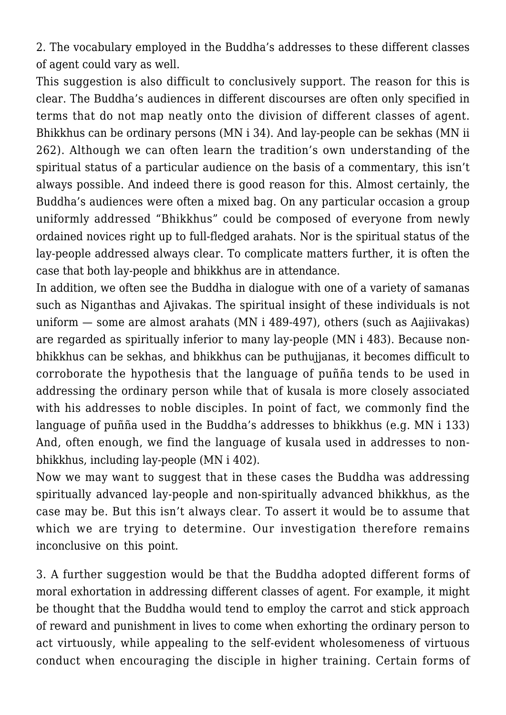2. The vocabulary employed in the Buddha's addresses to these different classes of agent could vary as well.

This suggestion is also difficult to conclusively support. The reason for this is clear. The Buddha's audiences in different discourses are often only specified in terms that do not map neatly onto the division of different classes of agent. Bhikkhus can be ordinary persons (MN i 34). And lay-people can be sekhas (MN ii 262). Although we can often learn the tradition's own understanding of the spiritual status of a particular audience on the basis of a commentary, this isn't always possible. And indeed there is good reason for this. Almost certainly, the Buddha's audiences were often a mixed bag. On any particular occasion a group uniformly addressed "Bhikkhus" could be composed of everyone from newly ordained novices right up to full-fledged arahats. Nor is the spiritual status of the lay-people addressed always clear. To complicate matters further, it is often the case that both lay-people and bhikkhus are in attendance.

In addition, we often see the Buddha in dialogue with one of a variety of samanas such as Niganthas and Ajivakas. The spiritual insight of these individuals is not uniform — some are almost arahats (MN i 489-497), others (such as Aajiivakas) are regarded as spiritually inferior to many lay-people (MN i 483). Because nonbhikkhus can be sekhas, and bhikkhus can be puthujjanas, it becomes difficult to corroborate the hypothesis that the language of puñña tends to be used in addressing the ordinary person while that of kusala is more closely associated with his addresses to noble disciples. In point of fact, we commonly find the language of puñña used in the Buddha's addresses to bhikkhus (e.g. MN i 133) And, often enough, we find the language of kusala used in addresses to nonbhikkhus, including lay-people (MN i 402).

Now we may want to suggest that in these cases the Buddha was addressing spiritually advanced lay-people and non-spiritually advanced bhikkhus, as the case may be. But this isn't always clear. To assert it would be to assume that which we are trying to determine. Our investigation therefore remains inconclusive on this point.

3. A further suggestion would be that the Buddha adopted different forms of moral exhortation in addressing different classes of agent. For example, it might be thought that the Buddha would tend to employ the carrot and stick approach of reward and punishment in lives to come when exhorting the ordinary person to act virtuously, while appealing to the self-evident wholesomeness of virtuous conduct when encouraging the disciple in higher training. Certain forms of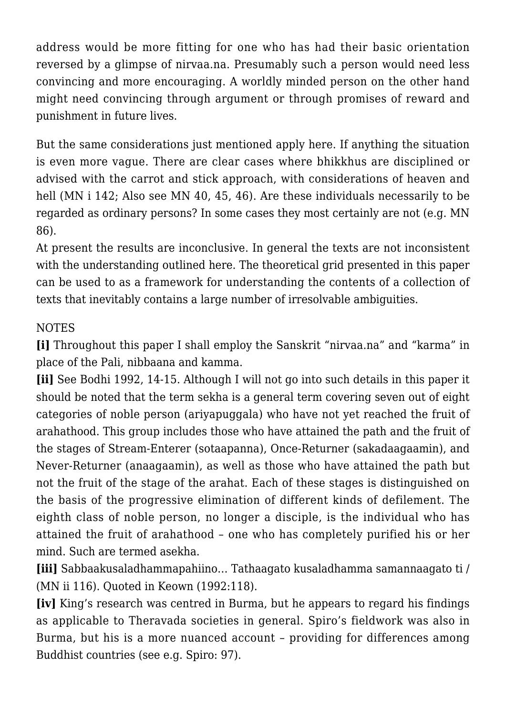address would be more fitting for one who has had their basic orientation reversed by a glimpse of nirvaa.na. Presumably such a person would need less convincing and more encouraging. A worldly minded person on the other hand might need convincing through argument or through promises of reward and punishment in future lives.

But the same considerations just mentioned apply here. If anything the situation is even more vague. There are clear cases where bhikkhus are disciplined or advised with the carrot and stick approach, with considerations of heaven and hell (MN i 142; Also see MN 40, 45, 46). Are these individuals necessarily to be regarded as ordinary persons? In some cases they most certainly are not (e.g. MN 86).

At present the results are inconclusive. In general the texts are not inconsistent with the understanding outlined here. The theoretical grid presented in this paper can be used to as a framework for understanding the contents of a collection of texts that inevitably contains a large number of irresolvable ambiguities.

### **NOTES**

**[i]** Throughout this paper I shall employ the Sanskrit "nirvaa.na" and "karma" in place of the Pali, nibbaana and kamma.

**[ii]** See Bodhi 1992, 14-15. Although I will not go into such details in this paper it should be noted that the term sekha is a general term covering seven out of eight categories of noble person (ariyapuggala) who have not yet reached the fruit of arahathood. This group includes those who have attained the path and the fruit of the stages of Stream-Enterer (sotaapanna), Once-Returner (sakadaagaamin), and Never-Returner (anaagaamin), as well as those who have attained the path but not the fruit of the stage of the arahat. Each of these stages is distinguished on the basis of the progressive elimination of different kinds of defilement. The eighth class of noble person, no longer a disciple, is the individual who has attained the fruit of arahathood – one who has completely purified his or her mind. Such are termed asekha.

**[iii]** Sabbaakusaladhammapahiino… Tathaagato kusaladhamma samannaagato ti / (MN ii 116). Quoted in Keown (1992:118).

**[iv]** King's research was centred in Burma, but he appears to regard his findings as applicable to Theravada societies in general. Spiro's fieldwork was also in Burma, but his is a more nuanced account – providing for differences among Buddhist countries (see e.g. Spiro: 97).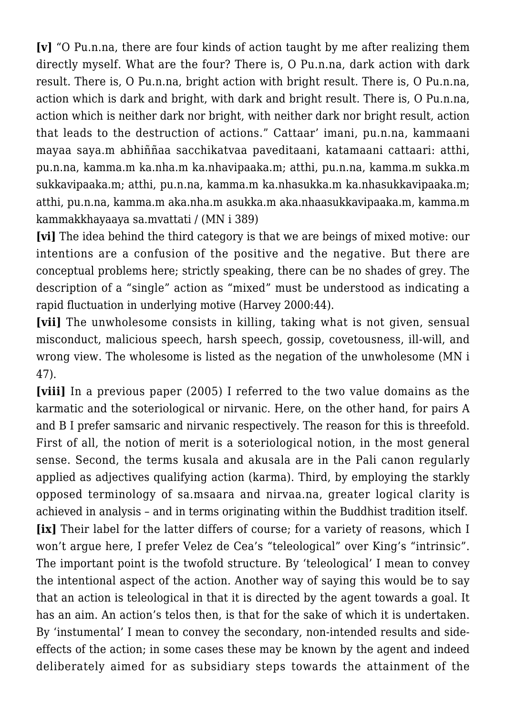**[v]** "O Pu.n.na, there are four kinds of action taught by me after realizing them directly myself. What are the four? There is, O Pu.n.na, dark action with dark result. There is, O Pu.n.na, bright action with bright result. There is, O Pu.n.na, action which is dark and bright, with dark and bright result. There is, O Pu.n.na, action which is neither dark nor bright, with neither dark nor bright result, action that leads to the destruction of actions." Cattaar' imani, pu.n.na, kammaani mayaa saya.m abhiññaa sacchikatvaa paveditaani, katamaani cattaari: atthi, pu.n.na, kamma.m ka.nha.m ka.nhavipaaka.m; atthi, pu.n.na, kamma.m sukka.m sukkavipaaka.m; atthi, pu.n.na, kamma.m ka.nhasukka.m ka.nhasukkavipaaka.m; atthi, pu.n.na, kamma.m aka.nha.m asukka.m aka.nhaasukkavipaaka.m, kamma.m kammakkhayaaya sa.mvattati / (MN i 389)

**[vi]** The idea behind the third category is that we are beings of mixed motive: our intentions are a confusion of the positive and the negative. But there are conceptual problems here; strictly speaking, there can be no shades of grey. The description of a "single" action as "mixed" must be understood as indicating a rapid fluctuation in underlying motive (Harvey 2000:44).

**[vii]** The unwholesome consists in killing, taking what is not given, sensual misconduct, malicious speech, harsh speech, gossip, covetousness, ill-will, and wrong view. The wholesome is listed as the negation of the unwholesome (MN i 47).

**[viii]** In a previous paper (2005) I referred to the two value domains as the karmatic and the soteriological or nirvanic. Here, on the other hand, for pairs A and B I prefer samsaric and nirvanic respectively. The reason for this is threefold. First of all, the notion of merit is a soteriological notion, in the most general sense. Second, the terms kusala and akusala are in the Pali canon regularly applied as adjectives qualifying action (karma). Third, by employing the starkly opposed terminology of sa.msaara and nirvaa.na, greater logical clarity is achieved in analysis – and in terms originating within the Buddhist tradition itself. **[ix]** Their label for the latter differs of course; for a variety of reasons, which I won't argue here, I prefer Velez de Cea's "teleological" over King's "intrinsic". The important point is the twofold structure. By 'teleological' I mean to convey the intentional aspect of the action. Another way of saying this would be to say that an action is teleological in that it is directed by the agent towards a goal. It has an aim. An action's telos then, is that for the sake of which it is undertaken. By 'instumental' I mean to convey the secondary, non-intended results and sideeffects of the action; in some cases these may be known by the agent and indeed deliberately aimed for as subsidiary steps towards the attainment of the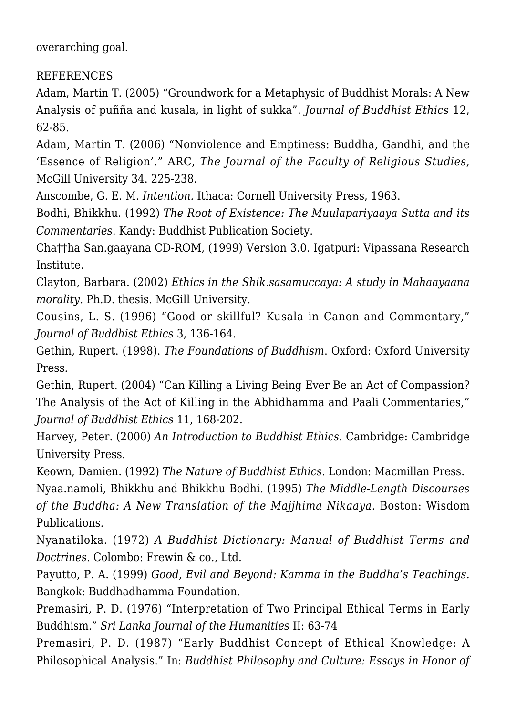overarching goal.

REFERENCES

Adam, Martin T. (2005) "Groundwork for a Metaphysic of Buddhist Morals: A New Analysis of puñña and kusala, in light of sukka". *Journal of Buddhist Ethics* 12, 62-85.

Adam, Martin T. (2006) "Nonviolence and Emptiness: Buddha, Gandhi, and the 'Essence of Religion'." ARC, *The Journal of the Faculty of Religious Studies*, McGill University 34. 225-238.

Anscombe, G. E. M. *Intention.* Ithaca: Cornell University Press, 1963.

Bodhi, Bhikkhu. (1992) *The Root of Existence: The Muulapariyaaya Sutta and its Commentaries*. Kandy: Buddhist Publication Society.

Cha††ha San.gaayana CD-ROM, (1999) Version 3.0. Igatpuri: Vipassana Research Institute.

Clayton, Barbara. (2002) *Ethics in the Shik.sasamuccaya: A study in Mahaayaana morality.* Ph.D. thesis. McGill University.

Cousins, L. S. (1996) "Good or skillful? Kusala in Canon and Commentary," *Journal of Buddhist Ethics* 3, 136-164.

Gethin, Rupert. (1998). *The Foundations of Buddhism*. Oxford: Oxford University Press.

Gethin, Rupert. (2004) "Can Killing a Living Being Ever Be an Act of Compassion? The Analysis of the Act of Killing in the Abhidhamma and Paali Commentaries," *Journal of Buddhist Ethics* 11, 168-202.

Harvey, Peter. (2000) *An Introduction to Buddhist Ethics.* Cambridge: Cambridge University Press.

Keown, Damien. (1992) *The Nature of Buddhist Ethics*. London: Macmillan Press.

Nyaa.namoli, Bhikkhu and Bhikkhu Bodhi. (1995) *The Middle-Length Discourses of the Buddha: A New Translation of the Majjhima Nikaaya*. Boston: Wisdom Publications.

Nyanatiloka. (1972) *A Buddhist Dictionary: Manual of Buddhist Terms and Doctrines.* Colombo: Frewin & co., Ltd.

Payutto, P. A. (1999) *Good, Evil and Beyond: Kamma in the Buddha's Teachings*. Bangkok: Buddhadhamma Foundation.

Premasiri, P. D. (1976) "Interpretation of Two Principal Ethical Terms in Early Buddhism." *Sri Lanka Journal of the Humanities* II: 63-74

Premasiri, P. D. (1987) "Early Buddhist Concept of Ethical Knowledge: A Philosophical Analysis." In: *Buddhist Philosophy and Culture: Essays in Honor of*